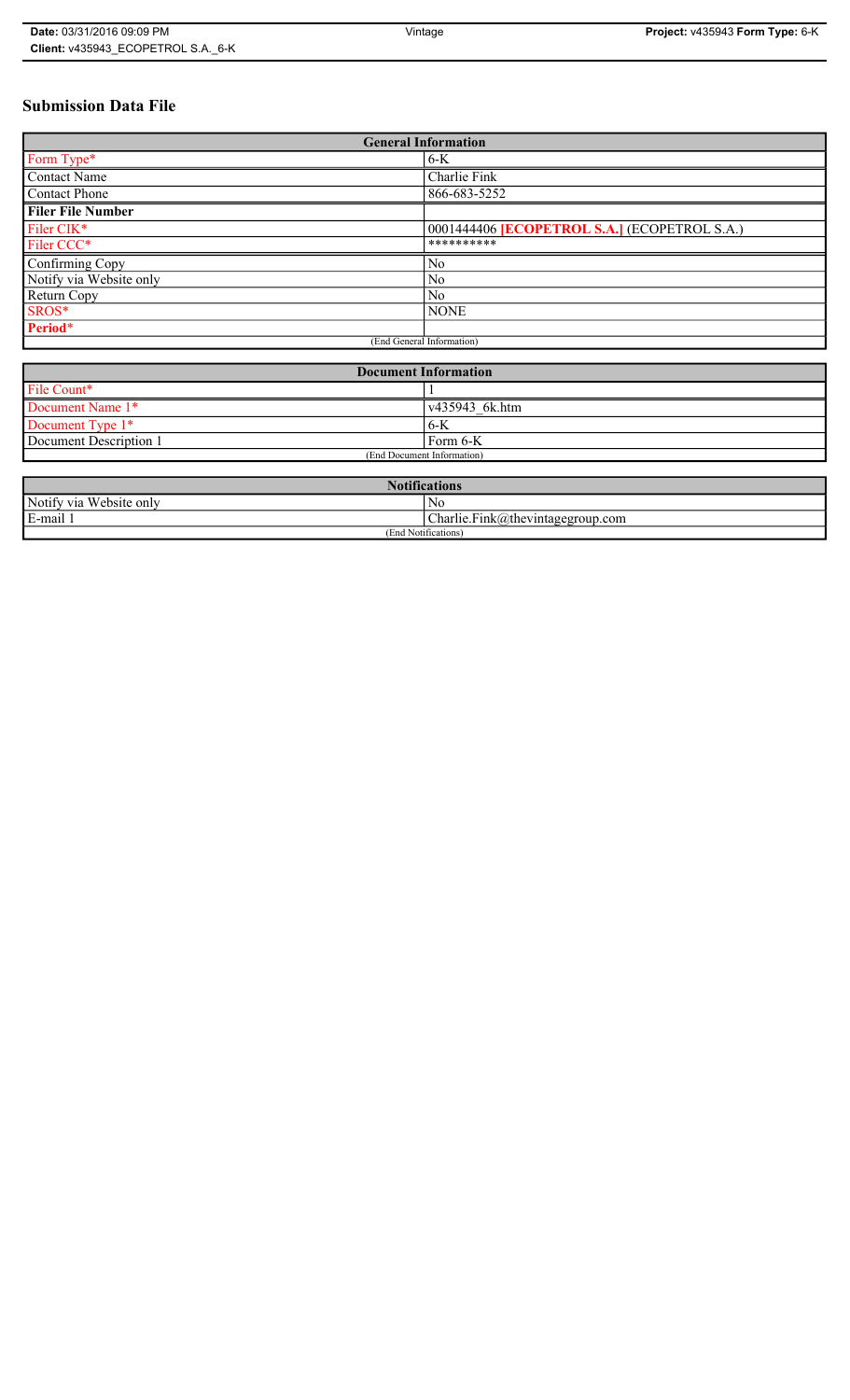# **Submission Data File**

| <b>General Information</b> |                                                   |
|----------------------------|---------------------------------------------------|
| Form Type*                 | $6-K$                                             |
| <b>Contact Name</b>        | Charlie Fink                                      |
| <b>Contact Phone</b>       | 866-683-5252                                      |
| <b>Filer File Number</b>   |                                                   |
| Filer CIK*                 | 0001444406 <b>ECOPETROL S.A.</b> (ECOPETROL S.A.) |
| Filer CCC*                 | **********                                        |
| Confirming Copy            | No                                                |
| Notify via Website only    | No                                                |
| Return Copy                | N <sub>0</sub>                                    |
| SROS*                      | <b>NONE</b>                                       |
| Period*                    |                                                   |
| (End General Information)  |                                                   |

| <b>Document Information</b> |                        |
|-----------------------------|------------------------|
| File Count*                 |                        |
| Document Name 1*            | $\sqrt{435943}$ 6k.htm |
| Document Type 1*            | ' 6-K                  |
| Document Description 1      | Form 6-K               |
| (End Document Information)  |                        |

| <b>Notifications</b>            |                                  |
|---------------------------------|----------------------------------|
| Notify via Website only         | No                               |
| E-mail                          | Charlie.Fink@thevintagegroup.com |
| $\cdots$<br>(End Notifications) |                                  |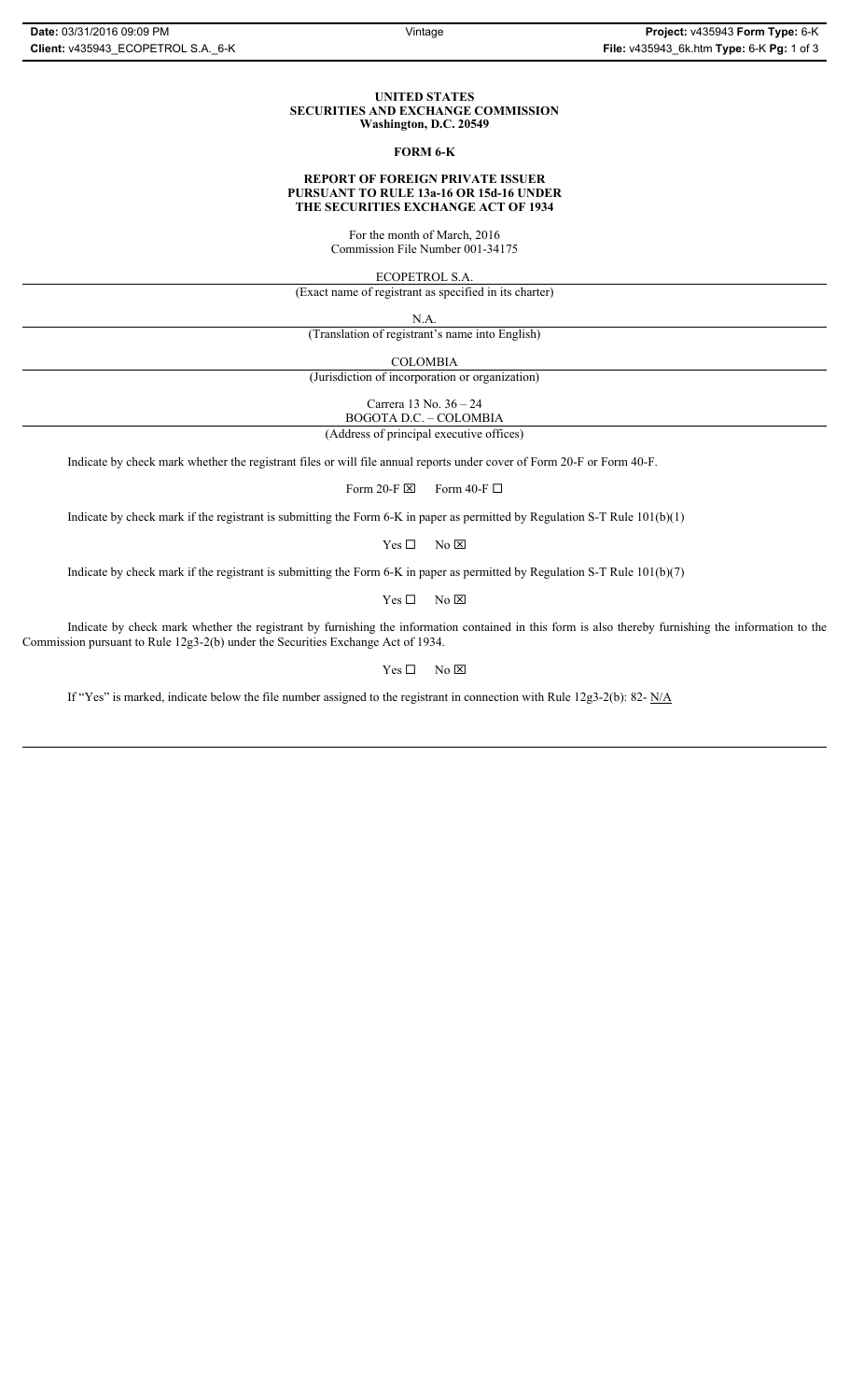### **UNITED STATES SECURITIES AND EXCHANGE COMMISSION Washington, D.C. 20549**

### **FORM 6-K**

### **REPORT OF FOREIGN PRIVATE ISSUER PURSUANT TO RULE 13a-16 OR 15d-16 UNDER THE SECURITIES EXCHANGE ACT OF 1934**

For the month of March, 2016 Commission File Number 001-34175

ECOPETROL S.A.

(Exact name of registrant as specified in its charter)

N.A.

(Translation of registrant's name into English)

COLOMBIA

(Jurisdiction of incorporation or organization)

Carrera 13 No. 36 – 24

BOGOTA D.C. – COLOMBIA (Address of principal executive offices)

Indicate by check mark whether the registrant files or will file annual reports under cover of Form 20-F or Form 40-F.

Form 20-F  $\boxtimes$  Form 40-F  $\Box$ 

Indicate by check mark if the registrant is submitting the Form 6-K in paper as permitted by Regulation S-T Rule 101(b)(1)

 $Yes \Box$  No  $\boxtimes$ 

Indicate by check mark if the registrant is submitting the Form 6-K in paper as permitted by Regulation S-T Rule 101(b)(7)

 $Yes \Box$  No  $\boxtimes$ 

Indicate by check mark whether the registrant by furnishing the information contained in this form is also thereby furnishing the information to the Commission pursuant to Rule 12g3-2(b) under the Securities Exchange Act of 1934.

 $Yes \Box$  No  $\boxtimes$ 

If "Yes" is marked, indicate below the file number assigned to the registrant in connection with Rule 12g3-2(b): 82- N/A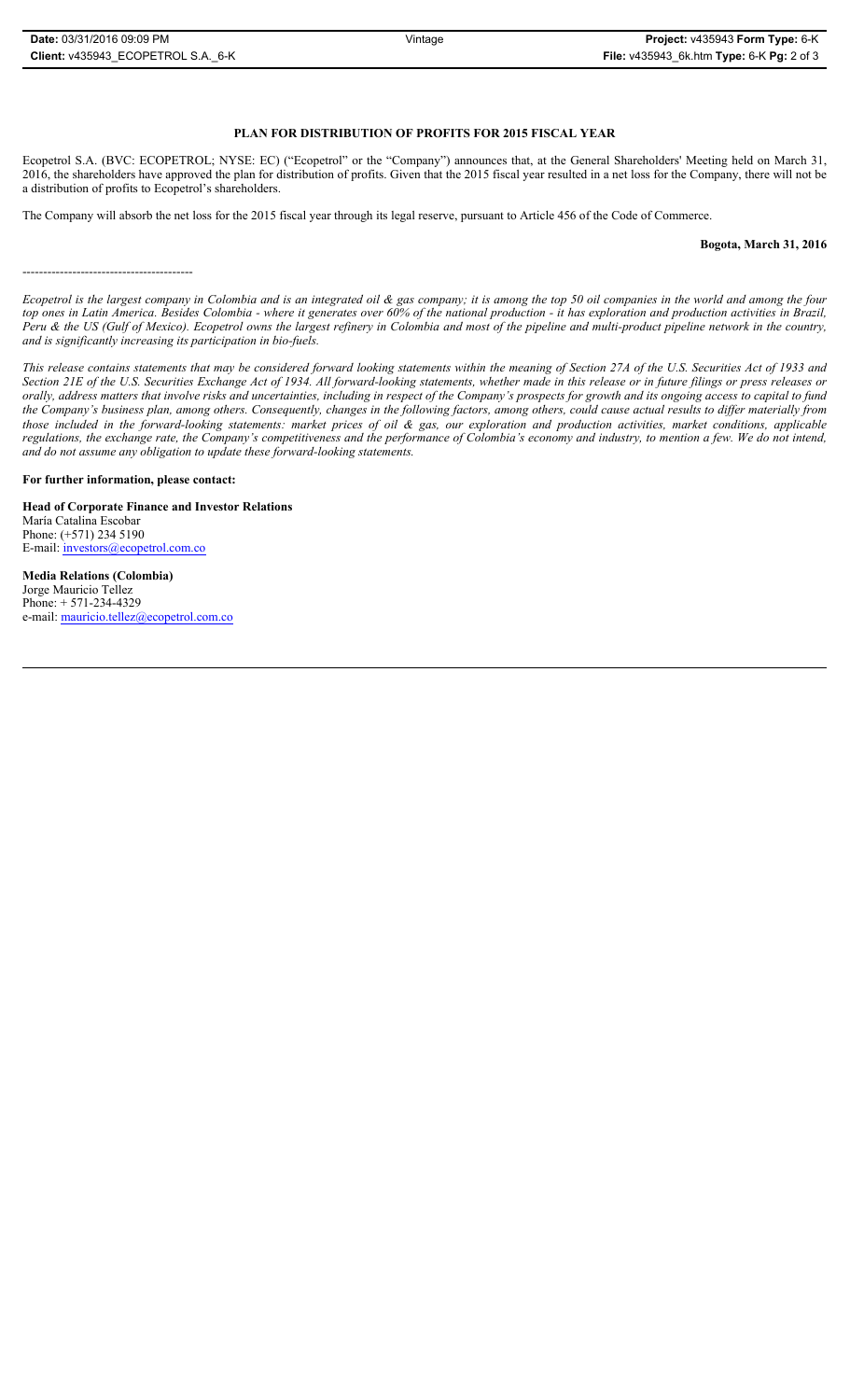Ecopetrol S.A. (BVC: ECOPETROL; NYSE: EC) ("Ecopetrol" or the "Company") announces that, at the General Shareholders' Meeting held on March 31, 2016, the shareholders have approved the plan for distribution of profits. Given that the 2015 fiscal year resulted in a net loss for the Company, there will not be a distribution of profits to Ecopetrol's shareholders.

The Company will absorb the net loss for the 2015 fiscal year through its legal reserve, pursuant to Article 456 of the Code of Commerce.

**Bogota, March 31, 2016**

*Ecopetrol is the largest company in Colombia and is an integrated oil & gas company; it is among the top 50 oil companies in the world and among the four top ones in Latin America. Besides Colombia - where it generates over 60% of the national production - it has exploration and production activities in Brazil, Peru & the US (Gulf of Mexico). Ecopetrol owns the largest refinery in Colombia and most of the pipeline and multi-product pipeline network in the country, and is significantly increasing its participation in bio-fuels.*

*This release contains statements that may be considered forward looking statements within the meaning of Section 27A of the U.S. Securities Act of 1933 and Section 21E of the U.S. Securities Exchange Act of 1934. All forward-looking statements, whether made in this release or in future filings or press releases or orally, address matters that involve risks and uncertainties, including in respect of the Company's prospects for growth and its ongoing access to capital to fund the Company's business plan, among others. Consequently, changes in the following factors, among others, could cause actual results to differ materially from those included in the forward-looking statements: market prices of oil & gas, our exploration and production activities, market conditions, applicable regulations, the exchange rate, the Company's competitiveness and the performance of Colombia's economy and industry, to mention a few. We do not intend, and do not assume any obligation to update these forward-looking statements.*

### **For further information, please contact:**

-----------------------------------------

**Head of Corporate Finance and Investor Relations** María Catalina Escobar Phone: (+571) 234 5190 E-mail: investors@ecopetrol.com.co

**Media Relations (Colombia)**  Jorge Mauricio Tellez Phone: + 571-234-4329 e-mail: mauricio.tellez@ecopetrol.com.co

### **PLAN FOR DISTRIBUTION OF PROFITS FOR 2015 FISCAL YEAR**